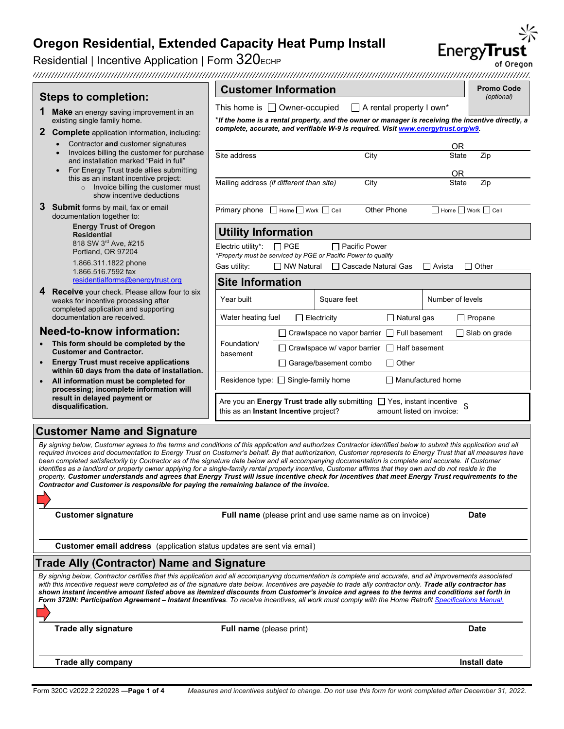Residential | Incentive Application | Form  $320$ <sub>ECHP</sub>

Energy**Trust** 

|                                                                                                                                                                                                                                                                                                                                                                                                                                                                                                                                                                                                                                                                                                                                                                                                                                                                                                    |                                                                                                                                                   | <b>Customer Information</b>                                                 |                                                                                   |                                     | <b>Promo Code</b>    |  |
|----------------------------------------------------------------------------------------------------------------------------------------------------------------------------------------------------------------------------------------------------------------------------------------------------------------------------------------------------------------------------------------------------------------------------------------------------------------------------------------------------------------------------------------------------------------------------------------------------------------------------------------------------------------------------------------------------------------------------------------------------------------------------------------------------------------------------------------------------------------------------------------------------|---------------------------------------------------------------------------------------------------------------------------------------------------|-----------------------------------------------------------------------------|-----------------------------------------------------------------------------------|-------------------------------------|----------------------|--|
| <b>Steps to completion:</b>                                                                                                                                                                                                                                                                                                                                                                                                                                                                                                                                                                                                                                                                                                                                                                                                                                                                        |                                                                                                                                                   |                                                                             | $\Box$ A rental property I own*                                                   |                                     | (optional)           |  |
| Make an energy saving improvement in an<br>existing single family home.                                                                                                                                                                                                                                                                                                                                                                                                                                                                                                                                                                                                                                                                                                                                                                                                                            | This home is $\Box$ Owner-occupied<br>*If the home is a rental property, and the owner or manager is receiving the incentive directly, a          |                                                                             |                                                                                   |                                     |                      |  |
| <b>Complete</b> application information, including:                                                                                                                                                                                                                                                                                                                                                                                                                                                                                                                                                                                                                                                                                                                                                                                                                                                |                                                                                                                                                   |                                                                             | complete, accurate, and verifiable W-9 is required. Visit www.energytrust.org/w9. |                                     |                      |  |
| Contractor and customer signatures                                                                                                                                                                                                                                                                                                                                                                                                                                                                                                                                                                                                                                                                                                                                                                                                                                                                 |                                                                                                                                                   |                                                                             |                                                                                   | ΟR                                  |                      |  |
| Invoices billing the customer for purchase<br>and installation marked "Paid in full"                                                                                                                                                                                                                                                                                                                                                                                                                                                                                                                                                                                                                                                                                                                                                                                                               | Site address                                                                                                                                      |                                                                             | City                                                                              | State                               | Zip                  |  |
| For Energy Trust trade allies submitting                                                                                                                                                                                                                                                                                                                                                                                                                                                                                                                                                                                                                                                                                                                                                                                                                                                           |                                                                                                                                                   |                                                                             |                                                                                   | 0R                                  |                      |  |
| this as an instant incentive project:<br>o Invoice billing the customer must<br>show incentive deductions                                                                                                                                                                                                                                                                                                                                                                                                                                                                                                                                                                                                                                                                                                                                                                                          |                                                                                                                                                   | Mailing address (if different than site)                                    | City                                                                              | State                               | Zip                  |  |
| 3<br><b>Submit</b> forms by mail, fax or email<br>documentation together to:                                                                                                                                                                                                                                                                                                                                                                                                                                                                                                                                                                                                                                                                                                                                                                                                                       |                                                                                                                                                   | Primary phone Home Work C Cell                                              | Other Phone                                                                       | $\Box$ Home $\Box$ Work $\Box$ Cell |                      |  |
| <b>Energy Trust of Oregon</b><br><b>Residential</b>                                                                                                                                                                                                                                                                                                                                                                                                                                                                                                                                                                                                                                                                                                                                                                                                                                                | <b>Utility Information</b>                                                                                                                        |                                                                             |                                                                                   |                                     |                      |  |
| 818 SW 3rd Ave, #215<br>Portland, OR 97204                                                                                                                                                                                                                                                                                                                                                                                                                                                                                                                                                                                                                                                                                                                                                                                                                                                         | Electric utility*:                                                                                                                                | $\Box$ PGE<br>*Property must be serviced by PGE or Pacific Power to qualify | $\Box$ Pacific Power                                                              |                                     |                      |  |
| 1.866.311.1822 phone                                                                                                                                                                                                                                                                                                                                                                                                                                                                                                                                                                                                                                                                                                                                                                                                                                                                               | Gas utility:                                                                                                                                      | □ NW Natural                                                                | □ Cascade Natural Gas                                                             | $\Box$ Avista                       | $\Box$ Other         |  |
| 1.866.516.7592 fax<br>residentialforms@energytrust.org                                                                                                                                                                                                                                                                                                                                                                                                                                                                                                                                                                                                                                                                                                                                                                                                                                             | <b>Site Information</b>                                                                                                                           |                                                                             |                                                                                   |                                     |                      |  |
| <b>Receive</b> your check. Please allow four to six                                                                                                                                                                                                                                                                                                                                                                                                                                                                                                                                                                                                                                                                                                                                                                                                                                                |                                                                                                                                                   |                                                                             |                                                                                   |                                     |                      |  |
| weeks for incentive processing after<br>completed application and supporting                                                                                                                                                                                                                                                                                                                                                                                                                                                                                                                                                                                                                                                                                                                                                                                                                       | Year built                                                                                                                                        | Square feet                                                                 |                                                                                   | Number of levels                    |                      |  |
| documentation are received.                                                                                                                                                                                                                                                                                                                                                                                                                                                                                                                                                                                                                                                                                                                                                                                                                                                                        | Water heating fuel                                                                                                                                | $\Box$ Electricity                                                          | $\Box$ Natural gas                                                                |                                     | $\Box$ Propane       |  |
| <b>Need-to-know information:</b>                                                                                                                                                                                                                                                                                                                                                                                                                                                                                                                                                                                                                                                                                                                                                                                                                                                                   |                                                                                                                                                   |                                                                             | $\Box$ Crawlspace no vapor barrier $\Box$ Full basement                           |                                     | $\Box$ Slab on grade |  |
| This form should be completed by the<br><b>Customer and Contractor.</b>                                                                                                                                                                                                                                                                                                                                                                                                                                                                                                                                                                                                                                                                                                                                                                                                                            | Foundation/<br>□ Crawlspace w/ vapor barrier □ Half basement                                                                                      |                                                                             |                                                                                   |                                     |                      |  |
| <b>Energy Trust must receive applications</b>                                                                                                                                                                                                                                                                                                                                                                                                                                                                                                                                                                                                                                                                                                                                                                                                                                                      | basement<br>□ Garage/basement combo<br>$\Box$ Other                                                                                               |                                                                             |                                                                                   |                                     |                      |  |
| within 60 days from the date of installation.<br>All information must be completed for                                                                                                                                                                                                                                                                                                                                                                                                                                                                                                                                                                                                                                                                                                                                                                                                             | Residence type: □ Single-family home<br>$\Box$ Manufactured home                                                                                  |                                                                             |                                                                                   |                                     |                      |  |
| processing; incomplete information will                                                                                                                                                                                                                                                                                                                                                                                                                                                                                                                                                                                                                                                                                                                                                                                                                                                            |                                                                                                                                                   |                                                                             |                                                                                   |                                     |                      |  |
| result in delayed payment or<br>disqualification.                                                                                                                                                                                                                                                                                                                                                                                                                                                                                                                                                                                                                                                                                                                                                                                                                                                  | Are you an Energy Trust trade ally submitting $\Box$ Yes, instant incentive<br>this as an Instant Incentive project?<br>amount listed on invoice: |                                                                             |                                                                                   |                                     |                      |  |
| <b>Customer Name and Signature</b>                                                                                                                                                                                                                                                                                                                                                                                                                                                                                                                                                                                                                                                                                                                                                                                                                                                                 |                                                                                                                                                   |                                                                             |                                                                                   |                                     |                      |  |
| By signing below, Customer agrees to the terms and conditions of this application and authorizes Contractor identified below to submit this application and all<br>required invoices and documentation to Energy Trust on Customer's behalf. By that authorization, Customer represents to Energy Trust that all measures have<br>been completed satisfactorily by Contractor as of the signature date below and all accompanying documentation is complete and accurate. If Customer<br>identifies as a landlord or property owner applying for a single-family rental property incentive, Customer affirms that they own and do not reside in the<br>property. Customer understands and agrees that Energy Trust will issue incentive check for incentives that meet Energy Trust requirements to the<br>Contractor and Customer is responsible for paying the remaining balance of the invoice. |                                                                                                                                                   |                                                                             |                                                                                   |                                     |                      |  |
| <b>Customer signature</b>                                                                                                                                                                                                                                                                                                                                                                                                                                                                                                                                                                                                                                                                                                                                                                                                                                                                          |                                                                                                                                                   |                                                                             | Full name (please print and use same name as on invoice)                          |                                     | <b>Date</b>          |  |
| Customer email address (application status updates are sent via email)                                                                                                                                                                                                                                                                                                                                                                                                                                                                                                                                                                                                                                                                                                                                                                                                                             |                                                                                                                                                   |                                                                             |                                                                                   |                                     |                      |  |
| Trade Ally (Contractor) Name and Signature                                                                                                                                                                                                                                                                                                                                                                                                                                                                                                                                                                                                                                                                                                                                                                                                                                                         |                                                                                                                                                   |                                                                             |                                                                                   |                                     |                      |  |
| By signing below, Contractor certifies that this application and all accompanying documentation is complete and accurate, and all improvements associated<br>with this incentive request were completed as of the signature date below. Incentives are payable to trade ally contractor only. Trade ally contractor has<br>shown instant incentive amount listed above as itemized discounts from Customer's invoice and agrees to the terms and conditions set forth in<br>Form 372IN: Participation Agreement – Instant Incentives. To receive incentives, all work must comply with the Home Retrofit Specifications Manual.                                                                                                                                                                                                                                                                    |                                                                                                                                                   |                                                                             |                                                                                   |                                     |                      |  |
| <b>Trade ally signature</b>                                                                                                                                                                                                                                                                                                                                                                                                                                                                                                                                                                                                                                                                                                                                                                                                                                                                        | <b>Full name</b> (please print)                                                                                                                   |                                                                             |                                                                                   |                                     | <b>Date</b>          |  |
| <b>Trade ally company</b>                                                                                                                                                                                                                                                                                                                                                                                                                                                                                                                                                                                                                                                                                                                                                                                                                                                                          |                                                                                                                                                   |                                                                             |                                                                                   |                                     | Install date         |  |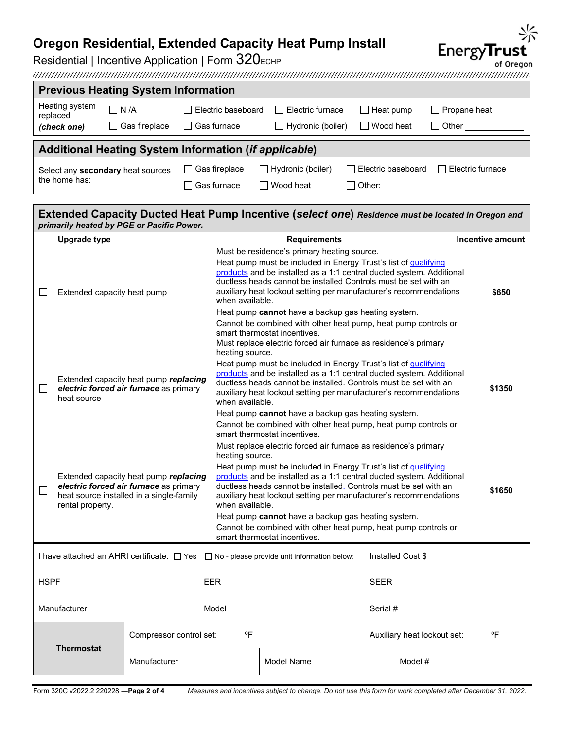Residential | Incentive Application | Form  $320$ <sub>ECHP</sub>

| <b>Previous Heating System Information</b>                   |                      |                             |                          |                           |                  |  |
|--------------------------------------------------------------|----------------------|-----------------------------|--------------------------|---------------------------|------------------|--|
| Heating system<br>replaced                                   | $\Box$ N /A          | $\sqcap$ Electric baseboard | Electric furnace         | $\Box$ Heat pump          | □ Propane heat   |  |
| (check one)                                                  | $\Box$ Gas fireplace | $\Box$ Gas furnace          | Hydronic (boiler)        | $\Box$ Wood heat          | Other            |  |
| <b>Additional Heating System Information (if applicable)</b> |                      |                             |                          |                           |                  |  |
|                                                              |                      |                             |                          |                           |                  |  |
| Select any secondary heat sources                            |                      | $\Box$ Gas fireplace        | $\Box$ Hydronic (boiler) | $\Box$ Electric baseboard | Electric furnace |  |
| the home has:                                                |                      |                             |                          |                           |                  |  |

#### **Extended Capacity Ducted Heat Pump Incentive (***select one***)** *Residence must be located in Oregon and primarily heated by PGE or Pacific Power.* **Upgrade type Requirements Incentive amount** Must be residence's primary heating source. Heat pump must be included in Energy Trust's list of qualifying [products](https://www.energytrust.org/wp-content/uploads/2020/05/ECHP-QPL.pdf) and be installed as a 1:1 central ducted system. Additional ductless heads cannot be installed Controls must be set with an  $\Box$  Extended capacity heat pump auxiliary heat lockout setting per manufacturer's recommendations **\$650** when available. Heat pump **cannot** have a backup gas heating system. Cannot be combined with other heat pump, heat pump controls or smart thermostat incentives. Must replace electric forced air furnace as residence's primary heating source. Heat pump must be included in Energy Trust's list of qualifying [products](https://www.energytrust.org/wp-content/uploads/2020/05/ECHP-QPL.pdf) and be installed as a 1:1 central ducted system. Additional Extended capacity heat pump *replacing*  ductless heads cannot be installed. Controls must be set with an  $\Box$ *electric forced air furnace* as primary **\$1350** auxiliary heat lockout setting per manufacturer's recommendations heat source when available. Heat pump **cannot** have a backup gas heating system. Cannot be combined with other heat pump, heat pump controls or smart thermostat incentives. Must replace electric forced air furnace as residence's primary heating source. Heat pump must be included in Energy Trust's list of qualifying [products](https://www.energytrust.org/wp-content/uploads/2020/05/ECHP-QPL.pdf) and be installed as a 1:1 central ducted system. Additional Extended capacity heat pump *replacing electric forced air furnace* as primary ductless heads cannot be installed. Controls must be set with an **\$1650**  $\Box$ heat source installed in a single-family auxiliary heat lockout setting per manufacturer's recommendations rental property. when available. Heat pump **cannot** have a backup gas heating system. Cannot be combined with other heat pump, heat pump controls or smart thermostat incentives. I have attached an AHRI certificate:  $\Box$  Yes  $\Box$  No - please provide unit information below: | Installed Cost \$ HSPF SEER SEER SEER SEER Manufacturer Model Model Note and Serial # Serial # Serial # Serial # Serial # Serial # Serial # Serial # Serial # Serial # Serial # Serial # Serial # Serial # Serial # Serial # Serial # Serial # Serial # Serial # Serial # Compressor control set:  $P$  <sup>o</sup>F  $\overline{P}$  Auxiliary heat lockout set:  $P$  <sup>o</sup>F **Thermostat** Manufacturer Model Nodel Name Model # Model #



Form 320C v2022.2 220228 ―**Page 2 of 4** *Measures and incentives subject to change. Do not use this form for work completed after December 31, 2022.*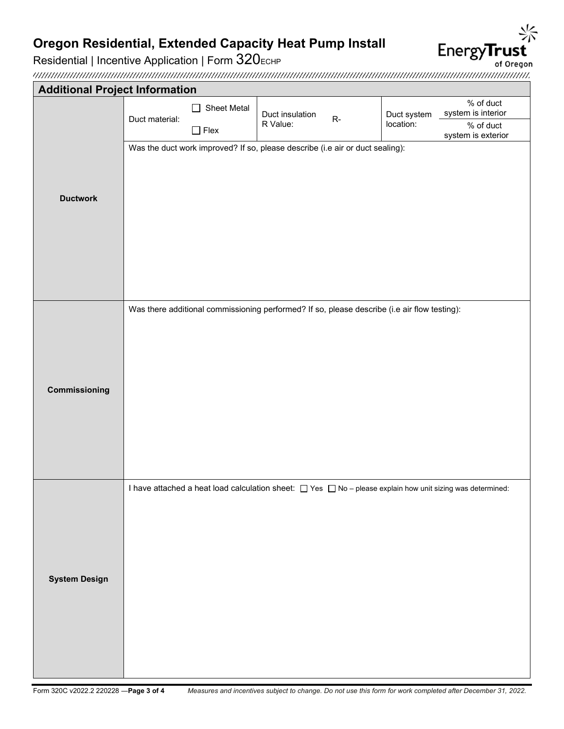Residential | Incentive Application | Form 320ECHP

EnergyTrust of Oregon

| <b>Additional Project Information</b> |                                                                                              |                               |                                                     |             |                                 |                                                                                                                      |
|---------------------------------------|----------------------------------------------------------------------------------------------|-------------------------------|-----------------------------------------------------|-------------|---------------------------------|----------------------------------------------------------------------------------------------------------------------|
|                                       | Duct material:                                                                               | <b>Sheet Metal</b><br>$\perp$ | Duct insulation<br>$\mathsf{R}\text{-}$<br>R Value: | Duct system | % of duct<br>system is interior |                                                                                                                      |
|                                       |                                                                                              | $\Box$ Flex                   |                                                     |             | location:                       | % of duct<br>system is exterior                                                                                      |
|                                       | Was the duct work improved? If so, please describe (i.e air or duct sealing):                |                               |                                                     |             |                                 |                                                                                                                      |
|                                       |                                                                                              |                               |                                                     |             |                                 |                                                                                                                      |
| <b>Ductwork</b>                       |                                                                                              |                               |                                                     |             |                                 |                                                                                                                      |
|                                       |                                                                                              |                               |                                                     |             |                                 |                                                                                                                      |
|                                       |                                                                                              |                               |                                                     |             |                                 |                                                                                                                      |
|                                       |                                                                                              |                               |                                                     |             |                                 |                                                                                                                      |
|                                       |                                                                                              |                               |                                                     |             |                                 |                                                                                                                      |
|                                       |                                                                                              |                               |                                                     |             |                                 |                                                                                                                      |
|                                       | Was there additional commissioning performed? If so, please describe (i.e air flow testing): |                               |                                                     |             |                                 |                                                                                                                      |
|                                       |                                                                                              |                               |                                                     |             |                                 |                                                                                                                      |
|                                       |                                                                                              |                               |                                                     |             |                                 |                                                                                                                      |
|                                       |                                                                                              |                               |                                                     |             |                                 |                                                                                                                      |
| Commissioning                         |                                                                                              |                               |                                                     |             |                                 |                                                                                                                      |
|                                       |                                                                                              |                               |                                                     |             |                                 |                                                                                                                      |
|                                       |                                                                                              |                               |                                                     |             |                                 |                                                                                                                      |
|                                       |                                                                                              |                               |                                                     |             |                                 |                                                                                                                      |
|                                       |                                                                                              |                               |                                                     |             |                                 | I have attached a heat load calculation sheet: $\Box$ Yes $\Box$ No - please explain how unit sizing was determined: |
|                                       |                                                                                              |                               |                                                     |             |                                 |                                                                                                                      |
|                                       |                                                                                              |                               |                                                     |             |                                 |                                                                                                                      |
|                                       |                                                                                              |                               |                                                     |             |                                 |                                                                                                                      |
|                                       |                                                                                              |                               |                                                     |             |                                 |                                                                                                                      |
| <b>System Design</b>                  |                                                                                              |                               |                                                     |             |                                 |                                                                                                                      |
|                                       |                                                                                              |                               |                                                     |             |                                 |                                                                                                                      |
|                                       |                                                                                              |                               |                                                     |             |                                 |                                                                                                                      |
|                                       |                                                                                              |                               |                                                     |             |                                 |                                                                                                                      |
|                                       |                                                                                              |                               |                                                     |             |                                 |                                                                                                                      |